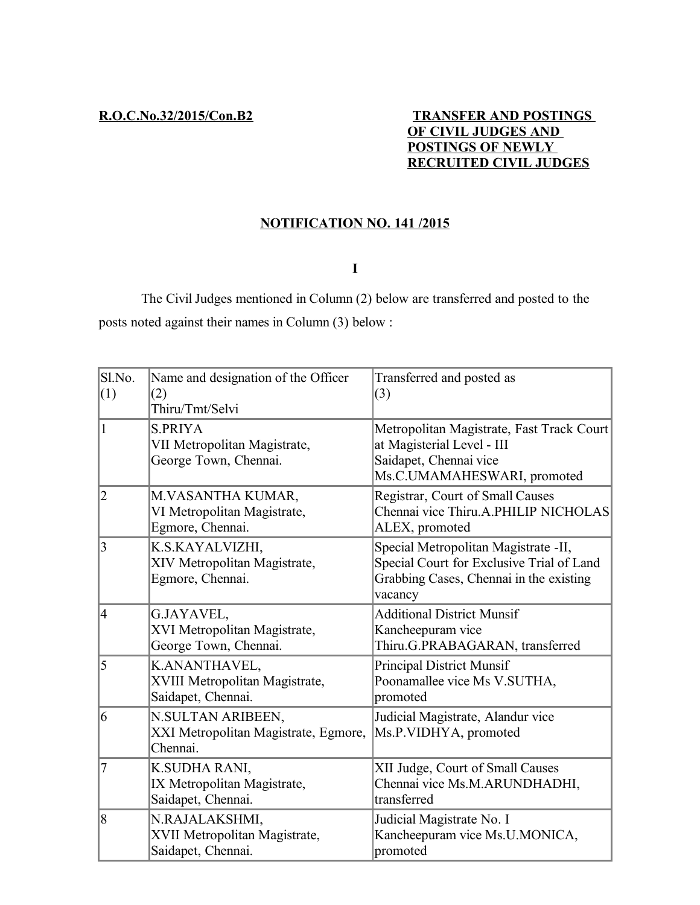## **R.O.C.No.32/2015/Con.B2 TRANSFER AND POSTINGS OF CIVIL JUDGES AND POSTINGS OF NEWLY RECRUITED CIVIL JUDGES**

# **NOTIFICATION NO. 141 /2015**

## **I**

The Civil Judges mentioned in Column (2) below are transferred and posted to the posts noted against their names in Column (3) below :

| Sl.No.<br>(1)  | Name and designation of the Officer<br>(2)                              | Transferred and posted as<br>(3)                                                                                                        |
|----------------|-------------------------------------------------------------------------|-----------------------------------------------------------------------------------------------------------------------------------------|
|                | Thiru/Tmt/Selvi                                                         |                                                                                                                                         |
| $\mathbf{1}$   | <b>S.PRIYA</b><br>VII Metropolitan Magistrate,<br>George Town, Chennai. | Metropolitan Magistrate, Fast Track Court<br>at Magisterial Level - III<br>Saidapet, Chennai vice<br>Ms.C.UMAMAHESWARI, promoted        |
| $\overline{2}$ | M.VASANTHA KUMAR,<br>VI Metropolitan Magistrate,<br>Egmore, Chennai.    | Registrar, Court of Small Causes<br>Chennai vice Thiru.A.PHILIP NICHOLAS<br>ALEX, promoted                                              |
| 3              | K.S.KAYALVIZHI,<br>XIV Metropolitan Magistrate,<br>Egmore, Chennai.     | Special Metropolitan Magistrate -II,<br>Special Court for Exclusive Trial of Land<br>Grabbing Cases, Chennai in the existing<br>vacancy |
| $\overline{4}$ | G.JAYAVEL,<br>XVI Metropolitan Magistrate,<br>George Town, Chennai.     | <b>Additional District Munsif</b><br>Kancheepuram vice<br>Thiru.G.PRABAGARAN, transferred                                               |
| 5              | K.ANANTHAVEL,<br>XVIII Metropolitan Magistrate,<br>Saidapet, Chennai.   | <b>Principal District Munsif</b><br>Poonamallee vice Ms V.SUTHA,<br>promoted                                                            |
| 6              | N.SULTAN ARIBEEN,<br>XXI Metropolitan Magistrate, Egmore,<br>Chennai.   | Judicial Magistrate, Alandur vice<br>Ms.P.VIDHYA, promoted                                                                              |
| 7              | K.SUDHA RANI,<br>IX Metropolitan Magistrate,<br>Saidapet, Chennai.      | XII Judge, Court of Small Causes<br>Chennai vice Ms.M.ARUNDHADHI,<br>transferred                                                        |
| 8              | N.RAJALAKSHMI,<br>XVII Metropolitan Magistrate,<br>Saidapet, Chennai.   | Judicial Magistrate No. I<br>Kancheepuram vice Ms.U.MONICA,<br>promoted                                                                 |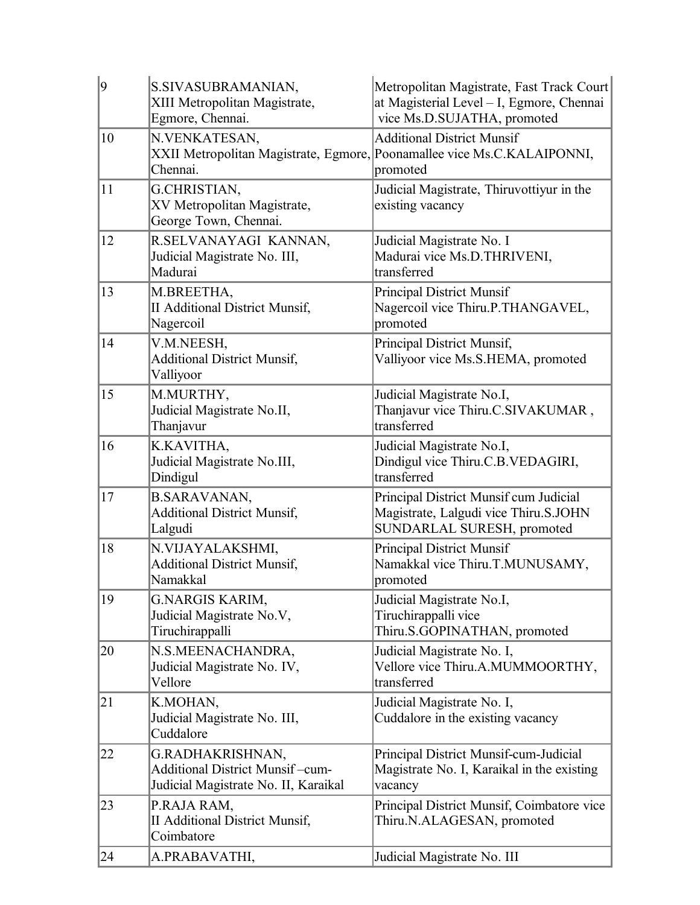| $ 9\rangle$ | S.SIVASUBRAMANIAN,<br>XIII Metropolitan Magistrate,<br>Egmore, Chennai.                            | Metropolitan Magistrate, Fast Track Court<br>at Magisterial Level - I, Egmore, Chennai<br>vice Ms.D.SUJATHA, promoted    |
|-------------|----------------------------------------------------------------------------------------------------|--------------------------------------------------------------------------------------------------------------------------|
| 10          | N.VENKATESAN,<br>Chennai.                                                                          | <b>Additional District Munsif</b><br>XXII Metropolitan Magistrate, Egmore, Poonamallee vice Ms.C.KALAIPONNI,<br>promoted |
| 11          | G.CHRISTIAN,<br>XV Metropolitan Magistrate,<br>George Town, Chennai.                               | Judicial Magistrate, Thiruvottiyur in the<br>existing vacancy                                                            |
| 12          | R.SELVANAYAGI KANNAN,<br>Judicial Magistrate No. III,<br>Madurai                                   | Judicial Magistrate No. I<br>Madurai vice Ms.D.THRIVENI,<br>transferred                                                  |
| 13          | M.BREETHA,<br><b>II Additional District Munsif,</b><br>Nagercoil                                   | <b>Principal District Munsif</b><br>Nagercoil vice Thiru.P.THANGAVEL,<br>promoted                                        |
| 14          | V.M.NEESH,<br><b>Additional District Munsif,</b><br>Valliyoor                                      | Principal District Munsif,<br>Valliyoor vice Ms.S.HEMA, promoted                                                         |
| 15          | M.MURTHY,<br>Judicial Magistrate No.II,<br>Thanjavur                                               | Judicial Magistrate No.I,<br>Thanjavur vice Thiru.C.SIVAKUMAR,<br>transferred                                            |
| 16          | K.KAVITHA,<br>Judicial Magistrate No.III,<br>Dindigul                                              | Judicial Magistrate No.I,<br>Dindigul vice Thiru.C.B.VEDAGIRI,<br>transferred                                            |
| 17          | <b>B.SARAVANAN,</b><br><b>Additional District Munsif,</b><br>Lalgudi                               | Principal District Munsif cum Judicial<br>Magistrate, Lalgudi vice Thiru.S.JOHN<br>SUNDARLAL SURESH, promoted            |
| 18          | N.VIJAYALAKSHMI,<br><b>Additional District Munsif,</b><br>Namakkal                                 | <b>Principal District Munsif</b><br>Namakkal vice Thiru.T.MUNUSAMY,<br>promoted                                          |
| 19          | <b>G.NARGIS KARIM,</b><br>Judicial Magistrate No.V,<br>Tiruchirappalli                             | Judicial Magistrate No.I,<br>Tiruchirappalli vice<br>Thiru.S.GOPINATHAN, promoted                                        |
| 20          | N.S.MEENACHANDRA,<br>Judicial Magistrate No. IV,<br>Vellore                                        | Judicial Magistrate No. I,<br>Vellore vice Thiru.A.MUMMOORTHY,<br>transferred                                            |
| 21          | K.MOHAN,<br>Judicial Magistrate No. III,<br>Cuddalore                                              | Judicial Magistrate No. I,<br>Cuddalore in the existing vacancy                                                          |
| 22          | G.RADHAKRISHNAN,<br><b>Additional District Munsif-cum-</b><br>Judicial Magistrate No. II, Karaikal | Principal District Munsif-cum-Judicial<br>Magistrate No. I, Karaikal in the existing<br>vacancy                          |
| 23          | P.RAJA RAM,<br>II Additional District Munsif,<br>Coimbatore                                        | Principal District Munsif, Coimbatore vice<br>Thiru.N.ALAGESAN, promoted                                                 |
| 24          | A.PRABAVATHI,                                                                                      | Judicial Magistrate No. III                                                                                              |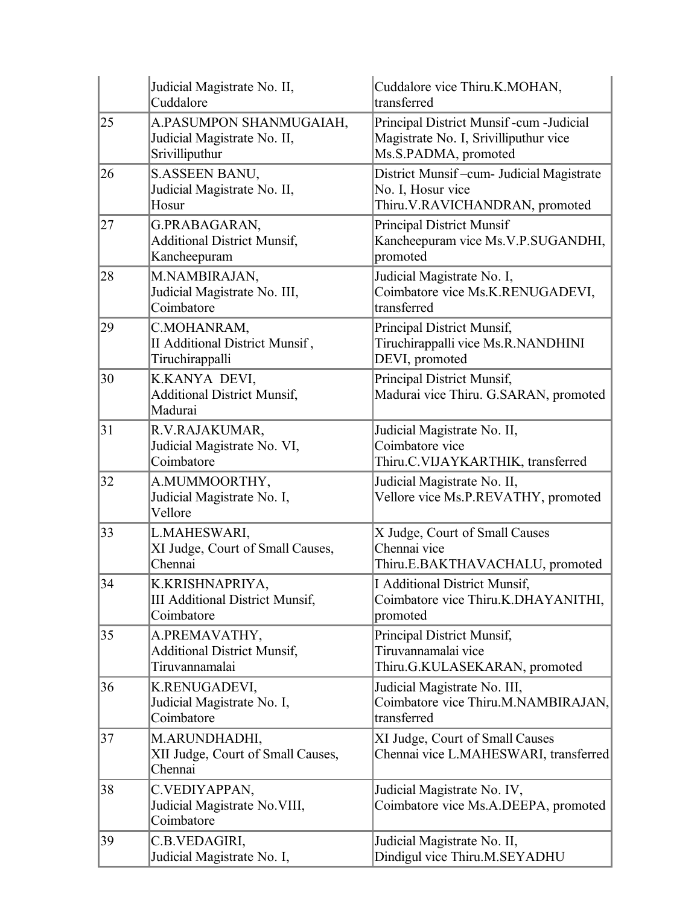|    | Judicial Magistrate No. II,<br>Cuddalore                                 | Cuddalore vice Thiru.K.MOHAN,<br>transferred                                                            |  |
|----|--------------------------------------------------------------------------|---------------------------------------------------------------------------------------------------------|--|
| 25 | A.PASUMPON SHANMUGAIAH,<br>Judicial Magistrate No. II,<br>Srivilliputhur | Principal District Munsif-cum-Judicial<br>Magistrate No. I, Srivilliputhur vice<br>Ms.S.PADMA, promoted |  |
| 26 | S.ASSEEN BANU,<br>Judicial Magistrate No. II,<br>Hosur                   | District Munsif-cum- Judicial Magistrate<br>No. I, Hosur vice<br>Thiru.V.RAVICHANDRAN, promoted         |  |
| 27 | G.PRABAGARAN,<br><b>Additional District Munsif,</b><br>Kancheepuram      | <b>Principal District Munsif</b><br>Kancheepuram vice Ms.V.P.SUGANDHI,<br>promoted                      |  |
| 28 | M.NAMBIRAJAN,<br>Judicial Magistrate No. III,<br>Coimbatore              | Judicial Magistrate No. I,<br>Coimbatore vice Ms.K.RENUGADEVI,<br>transferred                           |  |
| 29 | C.MOHANRAM,<br>II Additional District Munsif,<br>Tiruchirappalli         | Principal District Munsif,<br>Tiruchirappalli vice Ms.R.NANDHINI<br>DEVI, promoted                      |  |
| 30 | K.KANYA DEVI,<br><b>Additional District Munsif,</b><br>Madurai           | Principal District Munsif,<br>Madurai vice Thiru. G.SARAN, promoted                                     |  |
| 31 | R.V.RAJAKUMAR,<br>Judicial Magistrate No. VI,<br>Coimbatore              | Judicial Magistrate No. II,<br>Coimbatore vice<br>Thiru.C.VIJAYKARTHIK, transferred                     |  |
| 32 | A.MUMMOORTHY,<br>Judicial Magistrate No. I,<br>Vellore                   | Judicial Magistrate No. II,<br>Vellore vice Ms.P.REVATHY, promoted                                      |  |
| 33 | L.MAHESWARI,<br>XI Judge, Court of Small Causes,<br>Chennai              | X Judge, Court of Small Causes<br>Chennai vice<br>Thiru.E.BAKTHAVACHALU, promoted                       |  |
| 34 | K.KRISHNAPRIYA,<br><b>III Additional District Munsif,</b><br>Coimbatore  | I Additional District Munsif,<br>Coimbatore vice Thiru.K.DHAYANITHI,<br>promoted                        |  |
| 35 | A.PREMAVATHY,<br><b>Additional District Munsif,</b><br>Tiruvannamalai    | Principal District Munsif,<br>Tiruvannamalai vice<br>Thiru.G.KULASEKARAN, promoted                      |  |
| 36 | K.RENUGADEVI,<br>Judicial Magistrate No. I,<br>Coimbatore                | Judicial Magistrate No. III,<br>Coimbatore vice Thiru.M.NAMBIRAJAN,<br>transferred                      |  |
| 37 | M.ARUNDHADHI,<br>XII Judge, Court of Small Causes,<br>Chennai            | XI Judge, Court of Small Causes<br>Chennai vice L.MAHESWARI, transferred                                |  |
| 38 | C.VEDIYAPPAN,<br>Judicial Magistrate No. VIII,<br>Coimbatore             | Judicial Magistrate No. IV,<br>Coimbatore vice Ms.A.DEEPA, promoted                                     |  |
| 39 | C.B.VEDAGIRI,<br>Judicial Magistrate No. I,                              | Judicial Magistrate No. II,<br>Dindigul vice Thiru.M.SEYADHU                                            |  |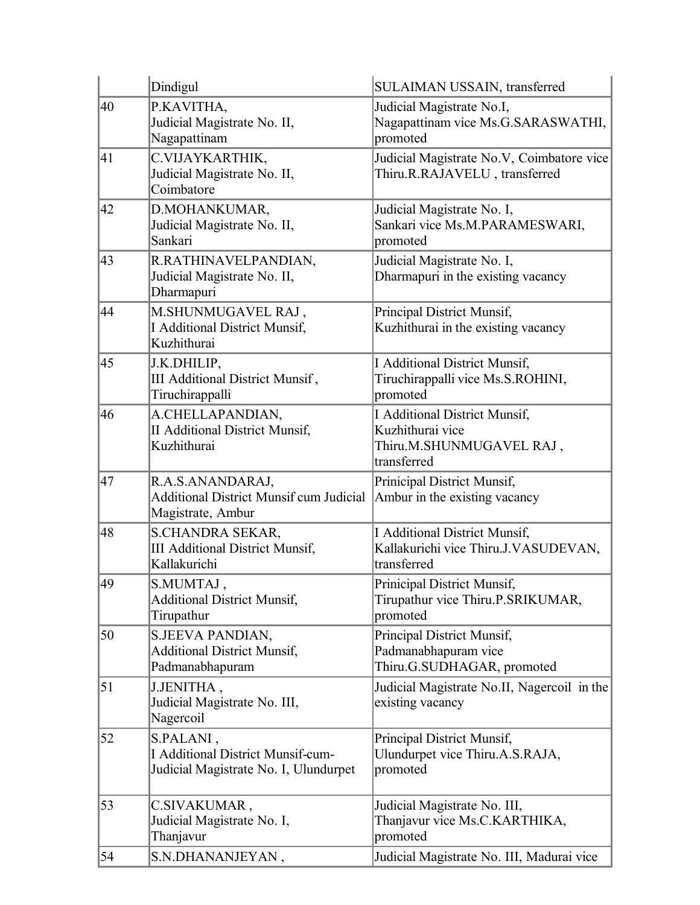|    | Dindigul                                                                                       | SULAIMAN USSAIN, transferred                                                                        |
|----|------------------------------------------------------------------------------------------------|-----------------------------------------------------------------------------------------------------|
| 40 | P.KAVITHA,<br>Judicial Magistrate No. II,<br>Nagapattinam                                      | Judicial Magistrate No.I,<br>Nagapattinam vice Ms.G.SARASWATHI,<br>promoted                         |
| 41 | C.VIJAYKARTHIK,<br>Judicial Magistrate No. II,<br>Coimbatore                                   | Judicial Magistrate No.V, Coimbatore vice<br>Thiru.R.RAJAVELU, transferred                          |
| 42 | D.MOHANKUMAR,<br>Judicial Magistrate No. II,<br>Sankari                                        | Judicial Magistrate No. I,<br>Sankari vice Ms.M.PARAMESWARI,<br>promoted                            |
| 43 | R.RATHINAVELPANDIAN,<br>Judicial Magistrate No. II,<br>Dharmapuri                              | Judicial Magistrate No. I,<br>Dharmapuri in the existing vacancy                                    |
| 44 | M.SHUNMUGAVEL RAJ,<br>I Additional District Munsif,<br>Kuzhithurai                             | Principal District Munsif,<br>Kuzhithurai in the existing vacancy                                   |
| 45 | J.K.DHILIP,<br>III Additional District Munsif,<br>Tiruchirappalli                              | <b>I Additional District Munsif,</b><br>Tiruchirappalli vice Ms.S.ROHINI,<br>promoted               |
| 46 | A.CHELLAPANDIAN,<br><b>II Additional District Munsif,</b><br>Kuzhithurai                       | <b>I Additional District Munsif,</b><br>Kuzhithurai vice<br>Thiru.M.SHUNMUGAVEL RAJ,<br>transferred |
| 47 | R.A.S.ANANDARAJ,<br><b>Additional District Munsif cum Judicial</b><br>Magistrate, Ambur        | Prinicipal District Munsif,<br>Ambur in the existing vacancy                                        |
| 48 | <b>S.CHANDRA SEKAR,</b><br><b>III Additional District Munsif,</b><br>Kallakurichi              | <b>I Additional District Munsif,</b><br>Kallakurichi vice Thiru.J.VASUDEVAN,<br>transferred         |
| 49 | S.MUMTAJ,<br><b>Additional District Munsif,</b><br>Tirupathur                                  | Prinicipal District Munsif,<br>Tirupathur vice Thiru.P.SRIKUMAR,<br>promoted                        |
| 50 | S.JEEVA PANDIAN,<br><b>Additional District Munsif,</b><br>Padmanabhapuram                      | Principal District Munsif,<br>Padmanabhapuram vice<br>Thiru.G.SUDHAGAR, promoted                    |
| 51 | J.JENITHA,<br>Judicial Magistrate No. III,<br>Nagercoil                                        | Judicial Magistrate No.II, Nagercoil in the<br>existing vacancy                                     |
| 52 | S.PALANI,<br><b>I Additional District Munsif-cum-</b><br>Judicial Magistrate No. I, Ulundurpet | Principal District Munsif,<br>Ulundurpet vice Thiru.A.S.RAJA,<br>promoted                           |
| 53 | C.SIVAKUMAR,<br>Judicial Magistrate No. I,<br>Thanjavur                                        | Judicial Magistrate No. III,<br>Thanjavur vice Ms.C.KARTHIKA,<br>promoted                           |
| 54 | S.N.DHANANJEYAN,                                                                               | Judicial Magistrate No. III, Madurai vice                                                           |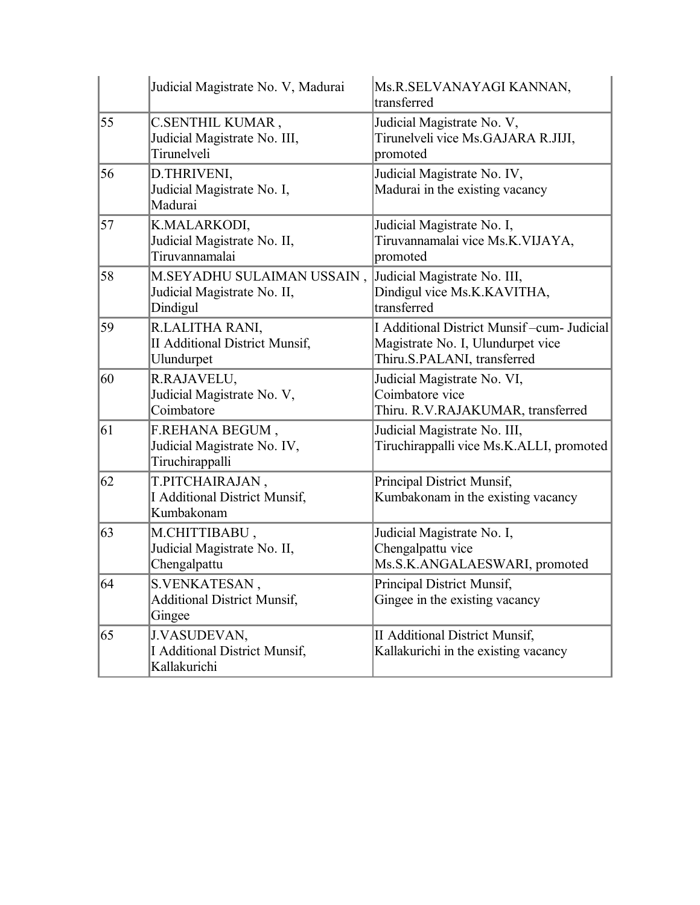|    | Judicial Magistrate No. V, Madurai                                     | Ms.R.SELVANAYAGI KANNAN,<br>transferred                                                                        |
|----|------------------------------------------------------------------------|----------------------------------------------------------------------------------------------------------------|
| 55 | C.SENTHIL KUMAR,<br>Judicial Magistrate No. III,<br>Tirunelveli        | Judicial Magistrate No. V,<br>Tirunelveli vice Ms.GAJARA R.JIJI,<br>promoted                                   |
| 56 | D.THRIVENI,<br>Judicial Magistrate No. I,<br>Madurai                   | Judicial Magistrate No. IV,<br>Madurai in the existing vacancy                                                 |
| 57 | K.MALARKODI,<br>Judicial Magistrate No. II,<br>Tiruvannamalai          | Judicial Magistrate No. I,<br>Tiruvannamalai vice Ms.K.VIJAYA,<br>promoted                                     |
| 58 | M.SEYADHU SULAIMAN USSAIN,<br>Judicial Magistrate No. II,<br>Dindigul  | Judicial Magistrate No. III,<br>Dindigul vice Ms.K.KAVITHA,<br>transferred                                     |
| 59 | R.LALITHA RANI,<br><b>II Additional District Munsif,</b><br>Ulundurpet | I Additional District Munsif-cum- Judicial<br>Magistrate No. I, Ulundurpet vice<br>Thiru.S.PALANI, transferred |
| 60 | R.RAJAVELU,<br>Judicial Magistrate No. V,<br>Coimbatore                | Judicial Magistrate No. VI,<br>Coimbatore vice<br>Thiru. R.V.RAJAKUMAR, transferred                            |
| 61 | F.REHANA BEGUM,<br>Judicial Magistrate No. IV,<br>Tiruchirappalli      | Judicial Magistrate No. III,<br>Tiruchirappalli vice Ms.K.ALLI, promoted                                       |
| 62 | T.PITCHAIRAJAN,<br>I Additional District Munsif,<br>Kumbakonam         | Principal District Munsif,<br>Kumbakonam in the existing vacancy                                               |
| 63 | M.CHITTIBABU,<br>Judicial Magistrate No. II,<br>Chengalpattu           | Judicial Magistrate No. I,<br>Chengalpattu vice<br>Ms.S.K.ANGALAESWARI, promoted                               |
| 64 | <b>S.VENKATESAN</b><br><b>Additional District Munsif,</b><br>Gingee    | Principal District Munsif,<br>Gingee in the existing vacancy                                                   |
| 65 | J.VASUDEVAN,<br><b>I Additional District Munsif,</b><br>Kallakurichi   | <b>II Additional District Munsif,</b><br>Kallakurichi in the existing vacancy                                  |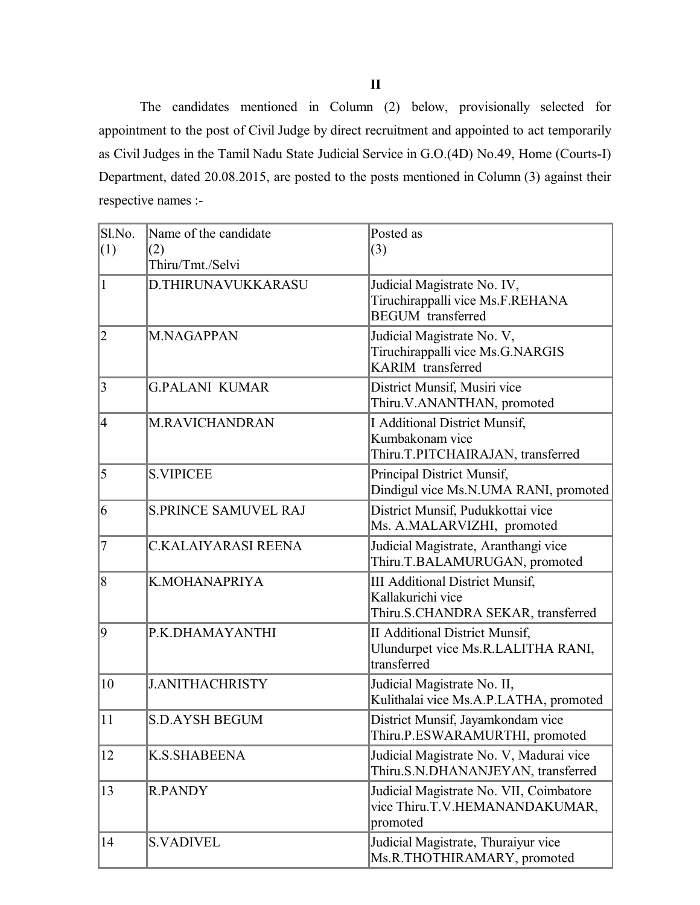The candidates mentioned in Column (2) below, provisionally selected for appointment to the post of Civil Judge by direct recruitment and appointed to act temporarily as Civil Judges in the Tamil Nadu State Judicial Service in G.O.(4D) No.49, Home (Courts-I) Department, dated 20.08.2015, are posted to the posts mentioned in Column (3) against their respective names :-

| Sl.No.<br>(1)  | Name of the candidate<br>(2)<br>Thiru/Tmt./Selvi | Posted as<br>(3)                                                                                  |
|----------------|--------------------------------------------------|---------------------------------------------------------------------------------------------------|
| 1              | D.THIRUNAVUKKARASU                               | Judicial Magistrate No. IV,<br>Tiruchirappalli vice Ms.F.REHANA<br><b>BEGUM</b> transferred       |
| $\overline{2}$ | M.NAGAPPAN                                       | Judicial Magistrate No. V,<br>Tiruchirappalli vice Ms.G.NARGIS<br>KARIM transferred               |
| $\overline{3}$ | <b>G.PALANI KUMAR</b>                            | District Munsif, Musiri vice<br>Thiru.V.ANANTHAN, promoted                                        |
| 4              | <b>M.RAVICHANDRAN</b>                            | I Additional District Munsif,<br>Kumbakonam vice<br>Thiru.T.PITCHAIRAJAN, transferred             |
| 5              | <b>S.VIPICEE</b>                                 | Principal District Munsif,<br>Dindigul vice Ms.N.UMA RANI, promoted                               |
| 6              | <b>S.PRINCE SAMUVEL RAJ</b>                      | District Munsif, Pudukkottai vice<br>Ms. A.MALARVIZHI, promoted                                   |
| $\overline{7}$ | C.KALAIYARASI REENA                              | Judicial Magistrate, Aranthangi vice<br>Thiru.T.BALAMURUGAN, promoted                             |
| $\overline{8}$ | K.MOHANAPRIYA                                    | <b>III Additional District Munsif,</b><br>Kallakurichi vice<br>Thiru.S.CHANDRA SEKAR, transferred |
| 9              | P.K.DHAMAYANTHI                                  | <b>II Additional District Munsif,</b><br>Ulundurpet vice Ms.R.LALITHA RANI,<br>transferred        |
| 10             | <b>J.ANITHACHRISTY</b>                           | Judicial Magistrate No. II,<br>Kulithalai vice Ms.A.P.LATHA, promoted                             |
| 11             | <b>S.D.AYSH BEGUM</b>                            | District Munsif, Jayamkondam vice<br>Thiru.P.ESWARAMURTHI, promoted                               |
| 12             | K.S.SHABEENA                                     | Judicial Magistrate No. V, Madurai vice<br>Thiru.S.N.DHANANJEYAN, transferred                     |
| 13             | <b>R.PANDY</b>                                   | Judicial Magistrate No. VII, Coimbatore<br>vice Thiru.T.V.HEMANANDAKUMAR,<br>promoted             |
| 14             | <b>S.VADIVEL</b>                                 | Judicial Magistrate, Thuraiyur vice<br>Ms.R.THOTHIRAMARY, promoted                                |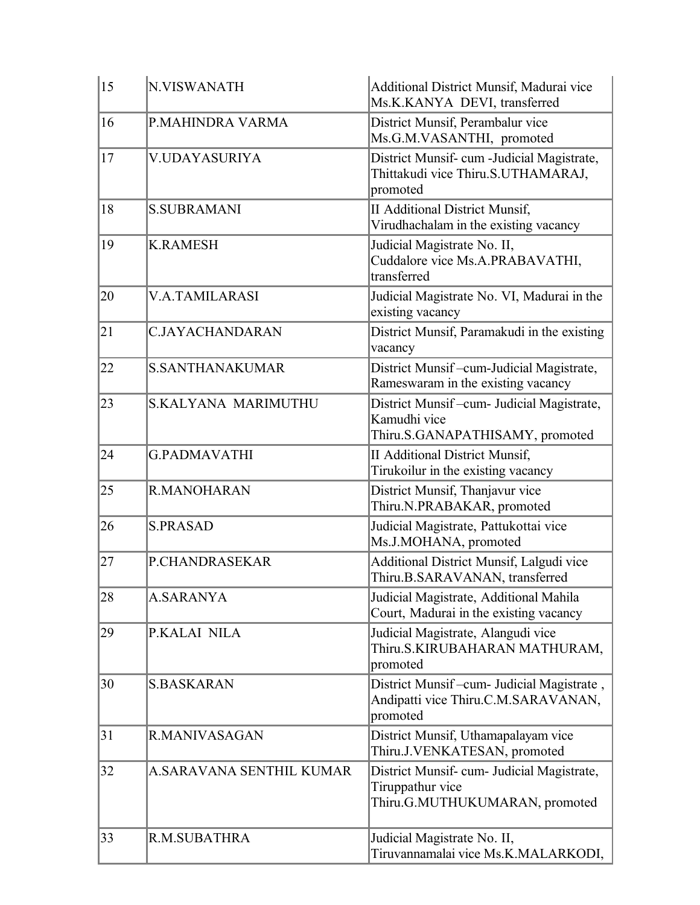| 15           | <b>N.VISWANATH</b>         | Additional District Munsif, Madurai vice<br>Ms.K.KANYA DEVI, transferred                         |
|--------------|----------------------------|--------------------------------------------------------------------------------------------------|
| 16           | P.MAHINDRA VARMA           | District Munsif, Perambalur vice<br>Ms.G.M.VASANTHI, promoted                                    |
| 17           | <b>V.UDAYASURIYA</b>       | District Munsif- cum -Judicial Magistrate,<br>Thittakudi vice Thiru.S.UTHAMARAJ,<br>promoted     |
| 18           | <b>S.SUBRAMANI</b>         | <b>II Additional District Munsif,</b><br>Virudhachalam in the existing vacancy                   |
| 19           | <b>K.RAMESH</b>            | Judicial Magistrate No. II,<br>Cuddalore vice Ms.A.PRABAVATHI,<br>transferred                    |
| 20           | <b>V.A.TAMILARASI</b>      | Judicial Magistrate No. VI, Madurai in the<br>existing vacancy                                   |
| 21           | <b>C.JAYACHANDARAN</b>     | District Munsif, Paramakudi in the existing<br>vacancy                                           |
| $ 22\rangle$ | <b>S.SANTHANAKUMAR</b>     | District Munsif-cum-Judicial Magistrate,<br>Rameswaram in the existing vacancy                   |
| 23           | <b>S.KALYANA MARIMUTHU</b> | District Munsif-cum- Judicial Magistrate,<br>Kamudhi vice<br>Thiru.S.GANAPATHISAMY, promoted     |
| 24           | <b>G.PADMAVATHI</b>        | <b>II Additional District Munsif,</b><br>Tirukoilur in the existing vacancy                      |
| 25           | R.MANOHARAN                | District Munsif, Thanjavur vice<br>Thiru.N.PRABAKAR, promoted                                    |
| 26           | <b>S.PRASAD</b>            | Judicial Magistrate, Pattukottai vice<br>Ms.J.MOHANA, promoted                                   |
| 27           | P.CHANDRASEKAR             | Additional District Munsif, Lalgudi vice<br>Thiru.B.SARAVANAN, transferred                       |
| 28           | <b>A.SARANYA</b>           | Judicial Magistrate, Additional Mahila<br>Court, Madurai in the existing vacancy                 |
| 29           | P.KALAI NILA               | Judicial Magistrate, Alangudi vice<br>Thiru.S.KIRUBAHARAN MATHURAM,<br>promoted                  |
| 30           | <b>S.BASKARAN</b>          | District Munsif-cum- Judicial Magistrate,<br>Andipatti vice Thiru.C.M.SARAVANAN,<br>promoted     |
| 31           | R.MANIVASAGAN              | District Munsif, Uthamapalayam vice<br>Thiru.J.VENKATESAN, promoted                              |
| 32           | A.SARAVANA SENTHIL KUMAR   | District Munsif- cum- Judicial Magistrate,<br>Tiruppathur vice<br>Thiru.G.MUTHUKUMARAN, promoted |
| $ 33\rangle$ | R.M.SUBATHRA               | Judicial Magistrate No. II,<br>Tiruvannamalai vice Ms.K.MALARKODI,                               |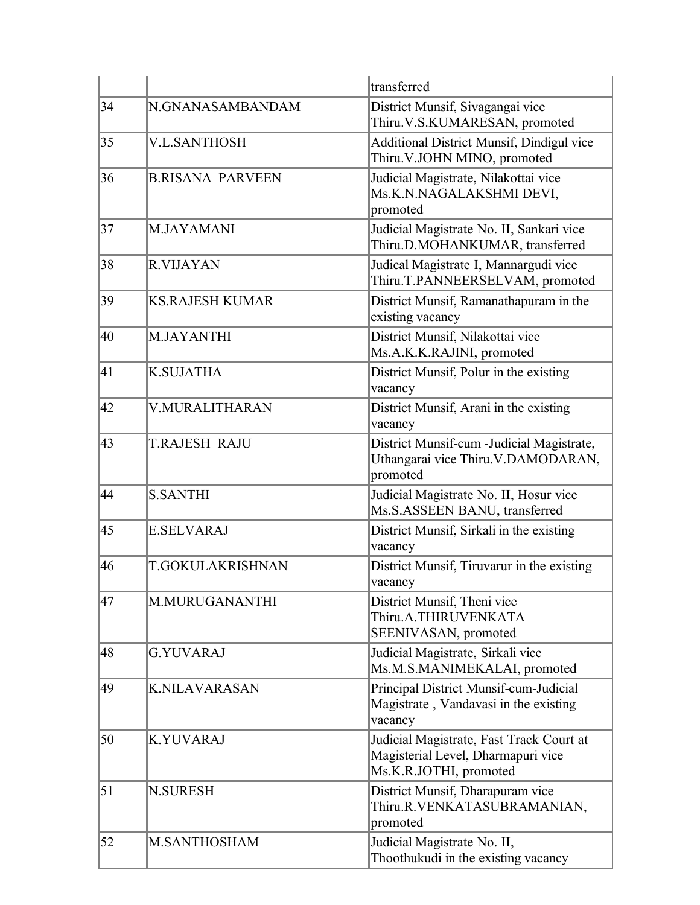|                  |                         | transferred                                                                                              |
|------------------|-------------------------|----------------------------------------------------------------------------------------------------------|
| 34               | N.GNANASAMBANDAM        | District Munsif, Sivagangai vice<br>Thiru.V.S.KUMARESAN, promoted                                        |
| 35               | <b>V.L.SANTHOSH</b>     | Additional District Munsif, Dindigul vice<br>Thiru. V.JOHN MINO, promoted                                |
| 36               | <b>B.RISANA PARVEEN</b> | Judicial Magistrate, Nilakottai vice<br>Ms.K.N.NAGALAKSHMI DEVI,<br>promoted                             |
| 37               | M.JAYAMANI              | Judicial Magistrate No. II, Sankari vice<br>Thiru.D.MOHANKUMAR, transferred                              |
| 38               | <b>R.VIJAYAN</b>        | Judical Magistrate I, Mannargudi vice<br>Thiru.T.PANNEERSELVAM, promoted                                 |
| 39               | <b>KS.RAJESH KUMAR</b>  | District Munsif, Ramanathapuram in the<br>existing vacancy                                               |
| 40               | <b>M.JAYANTHI</b>       | District Munsif, Nilakottai vice<br>Ms.A.K.K.RAJINI, promoted                                            |
| 41               | <b>K.SUJATHA</b>        | District Munsif, Polur in the existing<br>vacancy                                                        |
| 42               | V.MURALITHARAN          | District Munsif, Arani in the existing<br>vacancy                                                        |
| 43               | <b>T.RAJESH RAJU</b>    | District Munsif-cum - Judicial Magistrate,<br>Uthangarai vice Thiru. V.DAMODARAN,<br>promoted            |
| 44               | <b>S.SANTHI</b>         | Judicial Magistrate No. II, Hosur vice<br>Ms.S.ASSEEN BANU, transferred                                  |
| 45               | <b>E.SELVARAJ</b>       | District Munsif, Sirkali in the existing<br>vacancy                                                      |
| 46               | T.GOKULAKRISHNAN        | District Munsif, Tiruvarur in the existing<br>vacancy                                                    |
| 47               | M.MURUGANANTHI          | District Munsif, Theni vice<br>Thiru.A.THIRUVENKATA<br>SEENIVASAN, promoted                              |
| 48               | <b>G.YUVARAJ</b>        | Judicial Magistrate, Sirkali vice<br>Ms.M.S.MANIMEKALAI, promoted                                        |
| 49               | <b>K.NILAVARASAN</b>    | Principal District Munsif-cum-Judicial<br>Magistrate, Vandavasi in the existing<br>vacancy               |
| 50               | <b>K.YUVARAJ</b>        | Judicial Magistrate, Fast Track Court at<br>Magisterial Level, Dharmapuri vice<br>Ms.K.R.JOTHI, promoted |
| $\vert 51 \vert$ | <b>N.SURESH</b>         | District Munsif, Dharapuram vice<br>Thiru.R.VENKATASUBRAMANIAN,<br>promoted                              |
| 52               | <b>M.SANTHOSHAM</b>     | Judicial Magistrate No. II,<br>Thoothukudi in the existing vacancy                                       |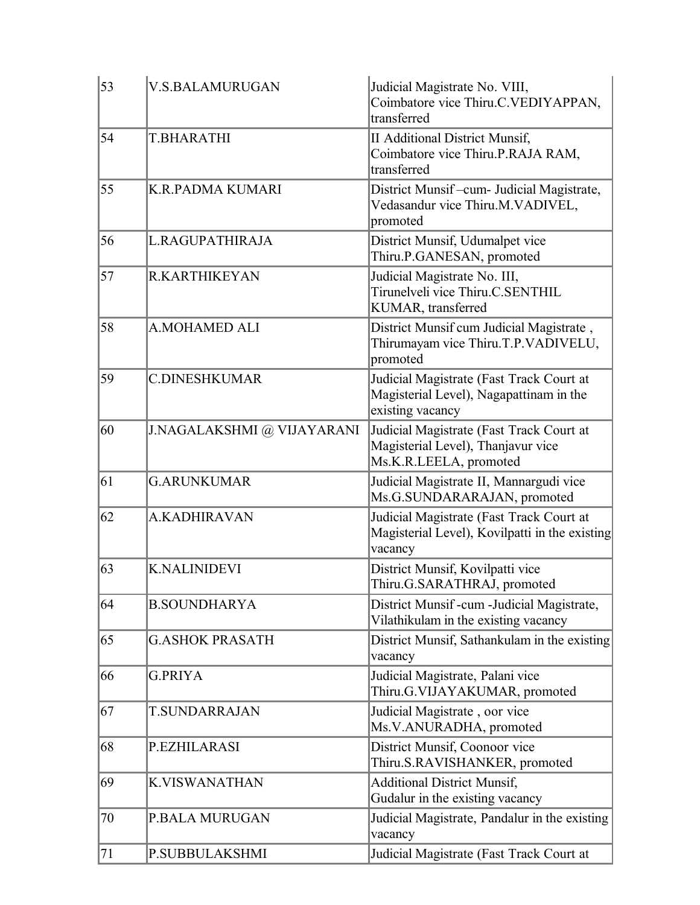| 53              | <b>V.S.BALAMURUGAN</b>     | Judicial Magistrate No. VIII,<br>Coimbatore vice Thiru.C.VEDIYAPPAN,<br>transferred                      |
|-----------------|----------------------------|----------------------------------------------------------------------------------------------------------|
| 54              | <b>T.BHARATHI</b>          | <b>II Additional District Munsif,</b><br>Coimbatore vice Thiru.P.RAJA RAM,<br>transferred                |
| 55              | <b>K.R.PADMA KUMARI</b>    | District Munsif-cum- Judicial Magistrate,<br>Vedasandur vice Thiru.M.VADIVEL,<br>promoted                |
| 56              | L.RAGUPATHIRAJA            | District Munsif, Udumalpet vice<br>Thiru.P.GANESAN, promoted                                             |
| $\overline{57}$ | <b>R.KARTHIKEYAN</b>       | Judicial Magistrate No. III,<br>Tirunelveli vice Thiru.C.SENTHIL<br>KUMAR, transferred                   |
| 58              | <b>A.MOHAMED ALI</b>       | District Munsif cum Judicial Magistrate,<br>Thirumayam vice Thiru.T.P.VADIVELU,<br>promoted              |
| 59              | <b>C.DINESHKUMAR</b>       | Judicial Magistrate (Fast Track Court at<br>Magisterial Level), Nagapattinam in the<br>existing vacancy  |
| 60              | J.NAGALAKSHMI @ VIJAYARANI | Judicial Magistrate (Fast Track Court at<br>Magisterial Level), Thanjavur vice<br>Ms.K.R.LEELA, promoted |
| 61              | <b>G.ARUNKUMAR</b>         | Judicial Magistrate II, Mannargudi vice<br>Ms.G.SUNDARARAJAN, promoted                                   |
| 62              | <b>A.KADHIRAVAN</b>        | Judicial Magistrate (Fast Track Court at<br>Magisterial Level), Kovilpatti in the existing<br>vacancy    |
| 63              | <b>K.NALINIDEVI</b>        | District Munsif, Kovilpatti vice<br>Thiru.G.SARATHRAJ, promoted                                          |
| 64              | <b>B.SOUNDHARYA</b>        | District Munsif -cum -Judicial Magistrate,<br>Vilathikulam in the existing vacancy                       |
| 65              | <b>G.ASHOK PRASATH</b>     | District Munsif, Sathankulam in the existing<br>vacancy                                                  |
| 66              | <b>G.PRIYA</b>             | Judicial Magistrate, Palani vice<br>Thiru.G.VIJAYAKUMAR, promoted                                        |
| 67              | <b>T.SUNDARRAJAN</b>       | Judicial Magistrate, oor vice<br>Ms.V.ANURADHA, promoted                                                 |
| 68              | P.EZHILARASI               | District Munsif, Coonoor vice<br>Thiru.S.RAVISHANKER, promoted                                           |
| 69              | <b>K.VISWANATHAN</b>       | <b>Additional District Munsif,</b><br>Gudalur in the existing vacancy                                    |
| 70              | P.BALA MURUGAN             | Judicial Magistrate, Pandalur in the existing<br>vacancy                                                 |
| 71              | <b>P.SUBBULAKSHMI</b>      | Judicial Magistrate (Fast Track Court at                                                                 |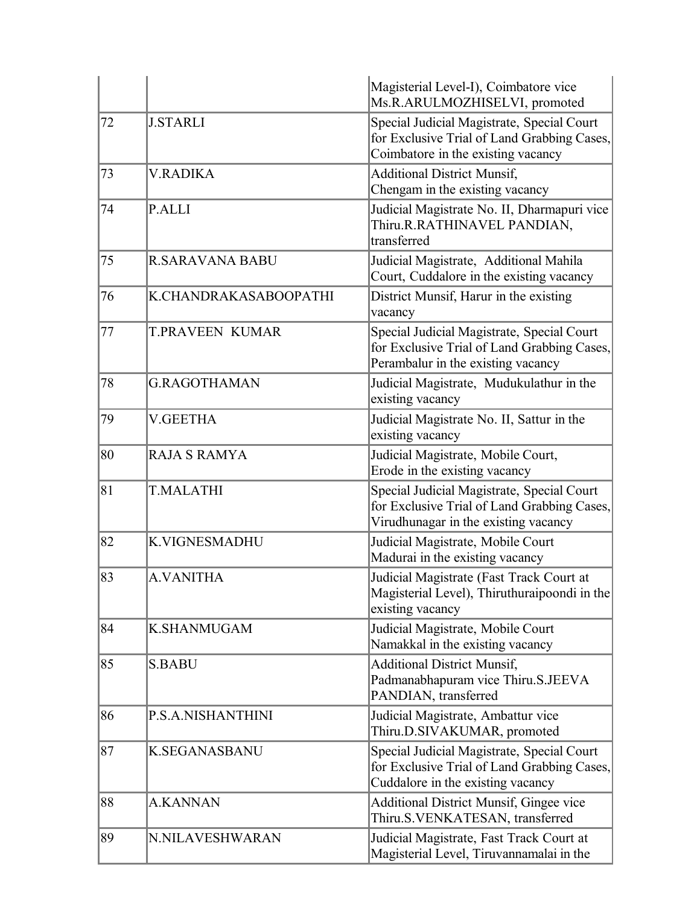|    |                        | Magisterial Level-I), Coimbatore vice<br>Ms.R.ARULMOZHISELVI, promoted                                                            |
|----|------------------------|-----------------------------------------------------------------------------------------------------------------------------------|
| 72 | <b>J.STARLI</b>        | Special Judicial Magistrate, Special Court<br>for Exclusive Trial of Land Grabbing Cases,<br>Coimbatore in the existing vacancy   |
| 73 | <b>V.RADIKA</b>        | <b>Additional District Munsif,</b><br>Chengam in the existing vacancy                                                             |
| 74 | P.ALLI                 | Judicial Magistrate No. II, Dharmapuri vice<br>Thiru.R.RATHINAVEL PANDIAN,<br>transferred                                         |
| 75 | <b>R.SARAVANA BABU</b> | Judicial Magistrate, Additional Mahila<br>Court, Cuddalore in the existing vacancy                                                |
| 76 | K.CHANDRAKASABOOPATHI  | District Munsif, Harur in the existing<br>vacancy                                                                                 |
| 77 | <b>T.PRAVEEN KUMAR</b> | Special Judicial Magistrate, Special Court<br>for Exclusive Trial of Land Grabbing Cases,<br>Perambalur in the existing vacancy   |
| 78 | <b>G.RAGOTHAMAN</b>    | Judicial Magistrate, Mudukulathur in the<br>existing vacancy                                                                      |
| 79 | <b>V.GEETHA</b>        | Judicial Magistrate No. II, Sattur in the<br>existing vacancy                                                                     |
| 80 | <b>RAJA S RAMYA</b>    | Judicial Magistrate, Mobile Court,<br>Erode in the existing vacancy                                                               |
| 81 | <b>T.MALATHI</b>       | Special Judicial Magistrate, Special Court<br>for Exclusive Trial of Land Grabbing Cases,<br>Virudhunagar in the existing vacancy |
| 82 | <b>K.VIGNESMADHU</b>   | Judicial Magistrate, Mobile Court<br>Madurai in the existing vacancy                                                              |
| 83 | <b>A.VANITHA</b>       | Judicial Magistrate (Fast Track Court at<br>Magisterial Level), Thiruthuraipoondi in the<br>existing vacancy                      |
| 84 | K.SHANMUGAM            | Judicial Magistrate, Mobile Court<br>Namakkal in the existing vacancy                                                             |
| 85 | <b>S.BABU</b>          | <b>Additional District Munsif,</b><br>Padmanabhapuram vice Thiru.S.JEEVA<br>PANDIAN, transferred                                  |
| 86 | P.S.A.NISHANTHINI      | Judicial Magistrate, Ambattur vice<br>Thiru.D.SIVAKUMAR, promoted                                                                 |
| 87 | <b>K.SEGANASBANU</b>   | Special Judicial Magistrate, Special Court<br>for Exclusive Trial of Land Grabbing Cases,<br>Cuddalore in the existing vacancy    |
| 88 | <b>A.KANNAN</b>        | <b>Additional District Munsif, Gingee vice</b><br>Thiru.S.VENKATESAN, transferred                                                 |
| 89 | N.NILAVESHWARAN        | Judicial Magistrate, Fast Track Court at<br>Magisterial Level, Tiruvannamalai in the                                              |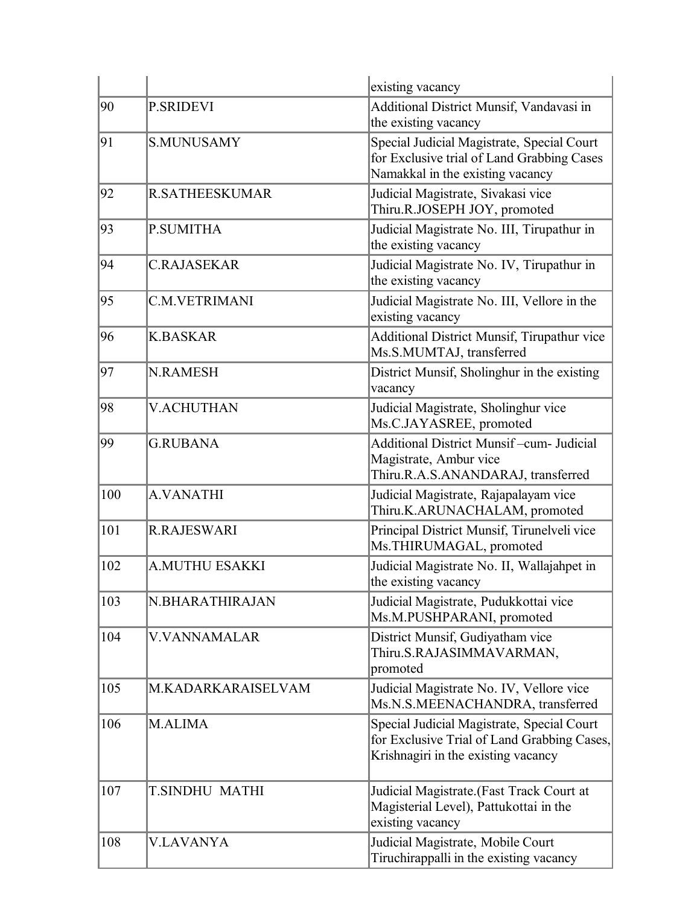|     |                       | existing vacancy                                                                                                                 |
|-----|-----------------------|----------------------------------------------------------------------------------------------------------------------------------|
| 90  | <b>P.SRIDEVI</b>      | Additional District Munsif, Vandavasi in<br>the existing vacancy                                                                 |
| 91  | <b>S.MUNUSAMY</b>     | Special Judicial Magistrate, Special Court<br>for Exclusive trial of Land Grabbing Cases<br>Namakkal in the existing vacancy     |
| 92  | <b>R.SATHEESKUMAR</b> | Judicial Magistrate, Sivakasi vice<br>Thiru.R.JOSEPH JOY, promoted                                                               |
| 93  | <b>P.SUMITHA</b>      | Judicial Magistrate No. III, Tirupathur in<br>the existing vacancy                                                               |
| 94  | <b>C.RAJASEKAR</b>    | Judicial Magistrate No. IV, Tirupathur in<br>the existing vacancy                                                                |
| 95  | <b>C.M.VETRIMANI</b>  | Judicial Magistrate No. III, Vellore in the<br>existing vacancy                                                                  |
| 96  | <b>K.BASKAR</b>       | Additional District Munsif, Tirupathur vice<br>Ms.S.MUMTAJ, transferred                                                          |
| 97  | <b>N.RAMESH</b>       | District Munsif, Sholinghur in the existing<br>vacancy                                                                           |
| 98  | <b>V.ACHUTHAN</b>     | Judicial Magistrate, Sholinghur vice<br>Ms.C.JAYASREE, promoted                                                                  |
| 99  | <b>G.RUBANA</b>       | <b>Additional District Munsif-cum- Judicial</b><br>Magistrate, Ambur vice<br>Thiru.R.A.S.ANANDARAJ, transferred                  |
| 100 | <b>A.VANATHI</b>      | Judicial Magistrate, Rajapalayam vice<br>Thiru.K.ARUNACHALAM, promoted                                                           |
| 101 | <b>R.RAJESWARI</b>    | Principal District Munsif, Tirunelveli vice<br>Ms.THIRUMAGAL, promoted                                                           |
| 102 | <b>A.MUTHU ESAKKI</b> | Judicial Magistrate No. II, Wallajahpet in<br>the existing vacancy                                                               |
| 103 | N.BHARATHIRAJAN       | Judicial Magistrate, Pudukkottai vice<br>Ms.M.PUSHPARANI, promoted                                                               |
| 104 | <b>V.VANNAMALAR</b>   | District Munsif, Gudiyatham vice<br>Thiru.S.RAJASIMMAVARMAN,<br>promoted                                                         |
| 105 | M.KADARKARAISELVAM    | Judicial Magistrate No. IV, Vellore vice<br>Ms.N.S.MEENACHANDRA, transferred                                                     |
| 106 | M.ALIMA               | Special Judicial Magistrate, Special Court<br>for Exclusive Trial of Land Grabbing Cases,<br>Krishnagiri in the existing vacancy |
| 107 | T.SINDHU MATHI        | Judicial Magistrate.(Fast Track Court at<br>Magisterial Level), Pattukottai in the<br>existing vacancy                           |
| 108 | <b>V.LAVANYA</b>      | Judicial Magistrate, Mobile Court<br>Tiruchirappalli in the existing vacancy                                                     |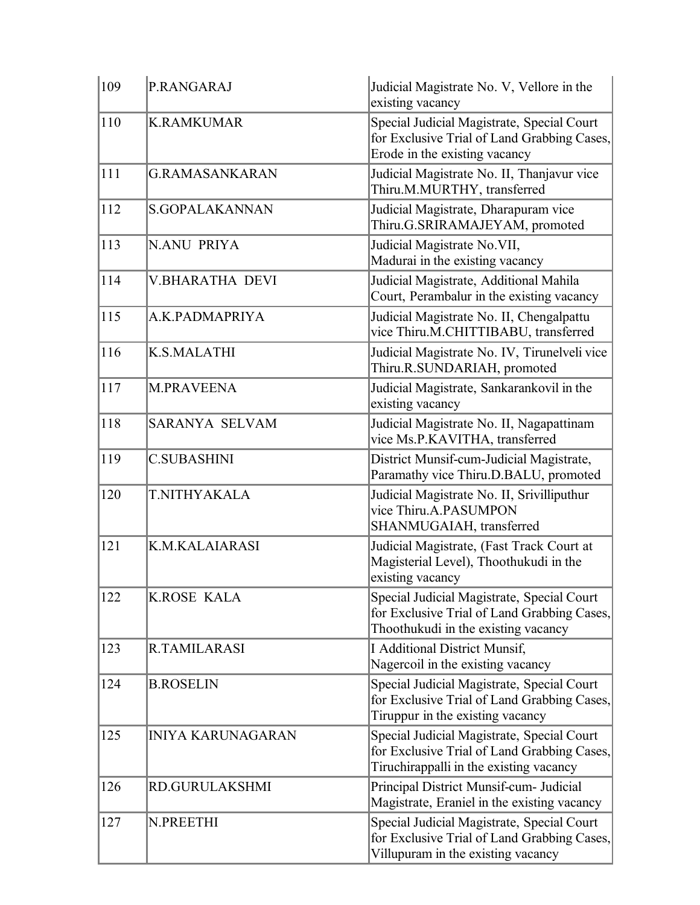| 109 | P.RANGARAJ               | Judicial Magistrate No. V, Vellore in the<br>existing vacancy                                                                        |
|-----|--------------------------|--------------------------------------------------------------------------------------------------------------------------------------|
| 110 | <b>K.RAMKUMAR</b>        | Special Judicial Magistrate, Special Court<br>for Exclusive Trial of Land Grabbing Cases,<br>Erode in the existing vacancy           |
| 111 | <b>G.RAMASANKARAN</b>    | Judicial Magistrate No. II, Thanjavur vice<br>Thiru.M.MURTHY, transferred                                                            |
| 112 | S.GOPALAKANNAN           | Judicial Magistrate, Dharapuram vice<br>Thiru.G.SRIRAMAJEYAM, promoted                                                               |
| 113 | <b>N.ANU PRIYA</b>       | Judicial Magistrate No. VII,<br>Madurai in the existing vacancy                                                                      |
| 114 | <b>V.BHARATHA DEVI</b>   | Judicial Magistrate, Additional Mahila<br>Court, Perambalur in the existing vacancy                                                  |
| 115 | A.K.PADMAPRIYA           | Judicial Magistrate No. II, Chengalpattu<br>vice Thiru.M.CHITTIBABU, transferred                                                     |
| 116 | <b>K.S.MALATHI</b>       | Judicial Magistrate No. IV, Tirunelveli vice<br>Thiru.R.SUNDARIAH, promoted                                                          |
| 117 | <b>M.PRAVEENA</b>        | Judicial Magistrate, Sankarankovil in the<br>existing vacancy                                                                        |
| 118 | <b>SARANYA SELVAM</b>    | Judicial Magistrate No. II, Nagapattinam<br>vice Ms.P.KAVITHA, transferred                                                           |
| 119 | <b>C.SUBASHINI</b>       | District Munsif-cum-Judicial Magistrate,<br>Paramathy vice Thiru.D.BALU, promoted                                                    |
| 120 | T.NITHYAKALA             | Judicial Magistrate No. II, Srivilliputhur<br>vice Thiru.A.PASUMPON<br>SHANMUGAIAH, transferred                                      |
| 121 | K.M.KALAIARASI           | Judicial Magistrate, (Fast Track Court at<br>Magisterial Level), Thoothukudi in the<br>existing vacancy                              |
| 122 | <b>K.ROSE KALA</b>       | Special Judicial Magistrate, Special Court<br>for Exclusive Trial of Land Grabbing Cases,<br>Thoothukudi in the existing vacancy     |
| 123 | <b>R.TAMILARASI</b>      | <b>I Additional District Munsif,</b><br>Nagercoil in the existing vacancy                                                            |
| 124 | <b>B.ROSELIN</b>         | Special Judicial Magistrate, Special Court<br>for Exclusive Trial of Land Grabbing Cases,<br>Tiruppur in the existing vacancy        |
| 125 | <b>INIYA KARUNAGARAN</b> | Special Judicial Magistrate, Special Court<br>for Exclusive Trial of Land Grabbing Cases,<br>Tiruchirappalli in the existing vacancy |
| 126 | <b>RD.GURULAKSHMI</b>    | Principal District Munsif-cum- Judicial<br>Magistrate, Eraniel in the existing vacancy                                               |
| 127 | N.PREETHI                | Special Judicial Magistrate, Special Court<br>for Exclusive Trial of Land Grabbing Cases,<br>Villupuram in the existing vacancy      |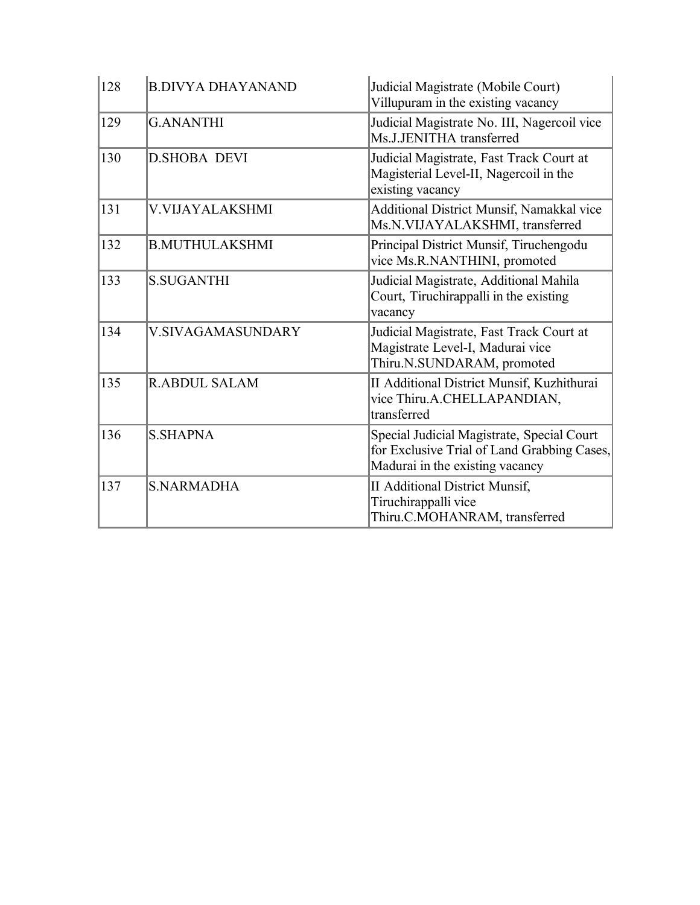| 128 | <b>B.DIVYA DHAYANAND</b> | Judicial Magistrate (Mobile Court)<br>Villupuram in the existing vacancy                                                     |  |
|-----|--------------------------|------------------------------------------------------------------------------------------------------------------------------|--|
| 129 | <b>G.ANANTHI</b>         | Judicial Magistrate No. III, Nagercoil vice<br>Ms.J.JENITHA transferred                                                      |  |
| 130 | <b>D.SHOBA DEVI</b>      | Judicial Magistrate, Fast Track Court at<br>Magisterial Level-II, Nagercoil in the<br>existing vacancy                       |  |
| 131 | <b>V.VIJAYALAKSHMI</b>   | Additional District Munsif, Namakkal vice<br>Ms.N.VIJAYALAKSHMI, transferred                                                 |  |
| 132 | <b>B.MUTHULAKSHMI</b>    | Principal District Munsif, Tiruchengodu<br>vice Ms.R.NANTHINI, promoted                                                      |  |
| 133 | <b>S.SUGANTHI</b>        | Judicial Magistrate, Additional Mahila<br>Court, Tiruchirappalli in the existing<br>vacancy                                  |  |
| 134 | <b>V.SIVAGAMASUNDARY</b> | Judicial Magistrate, Fast Track Court at<br>Magistrate Level-I, Madurai vice<br>Thiru.N.SUNDARAM, promoted                   |  |
| 135 | <b>R.ABDUL SALAM</b>     | II Additional District Munsif, Kuzhithurai<br>vice Thiru.A.CHELLAPANDIAN,<br>transferred                                     |  |
| 136 | <b>S.SHAPNA</b>          | Special Judicial Magistrate, Special Court<br>for Exclusive Trial of Land Grabbing Cases,<br>Madurai in the existing vacancy |  |
| 137 | <b>S.NARMADHA</b>        | <b>II Additional District Munsif,</b><br>Tiruchirappalli vice<br>Thiru.C.MOHANRAM, transferred                               |  |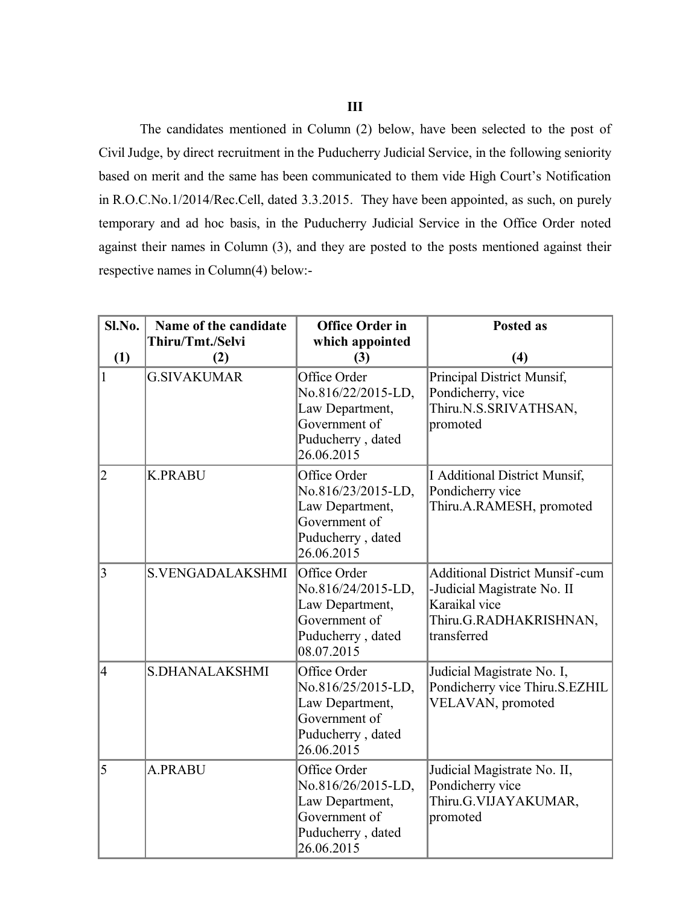## **III**

The candidates mentioned in Column (2) below, have been selected to the post of Civil Judge, by direct recruitment in the Puducherry Judicial Service, in the following seniority based on merit and the same has been communicated to them vide High Court's Notification in R.O.C.No.1/2014/Rec.Cell, dated 3.3.2015. They have been appointed, as such, on purely temporary and ad hoc basis, in the Puducherry Judicial Service in the Office Order noted against their names in Column (3), and they are posted to the posts mentioned against their respective names in Column(4) below:-

| Sl.No.                   | Name of the candidate   | <b>Office Order in</b>                                                                                    | <b>Posted as</b>                                                                                                               |
|--------------------------|-------------------------|-----------------------------------------------------------------------------------------------------------|--------------------------------------------------------------------------------------------------------------------------------|
| (1)                      | Thiru/Tmt./Selvi<br>(2) | which appointed<br>(3)                                                                                    | (4)                                                                                                                            |
| 1                        | <b>G.SIVAKUMAR</b>      | Office Order<br>No.816/22/2015-LD,<br>Law Department,<br>Government of<br>Puducherry, dated<br>26.06.2015 | Principal District Munsif,<br>Pondicherry, vice<br>Thiru.N.S.SRIVATHSAN,<br>promoted                                           |
| $\overline{2}$           | <b>K.PRABU</b>          | Office Order<br>No.816/23/2015-LD,<br>Law Department,<br>Government of<br>Puducherry, dated<br>26.06.2015 | I Additional District Munsif,<br>Pondicherry vice<br>Thiru.A.RAMESH, promoted                                                  |
| 3                        | <b>S.VENGADALAKSHMI</b> | Office Order<br>No.816/24/2015-LD,<br>Law Department,<br>Government of<br>Puducherry, dated<br>08.07.2015 | <b>Additional District Munsif-cum</b><br>-Judicial Magistrate No. II<br>Karaikal vice<br>Thiru.G.RADHAKRISHNAN,<br>transferred |
| $\overline{\mathcal{A}}$ | S.DHANALAKSHMI          | Office Order<br>No.816/25/2015-LD,<br>Law Department,<br>Government of<br>Puducherry, dated<br>26.06.2015 | Judicial Magistrate No. I,<br>Pondicherry vice Thiru.S.EZHIL<br>VELAVAN, promoted                                              |
| 5                        | <b>A.PRABU</b>          | Office Order<br>No.816/26/2015-LD,<br>Law Department,<br>Government of<br>Puducherry, dated<br>26.06.2015 | Judicial Magistrate No. II,<br>Pondicherry vice<br>Thiru.G.VIJAYAKUMAR,<br>promoted                                            |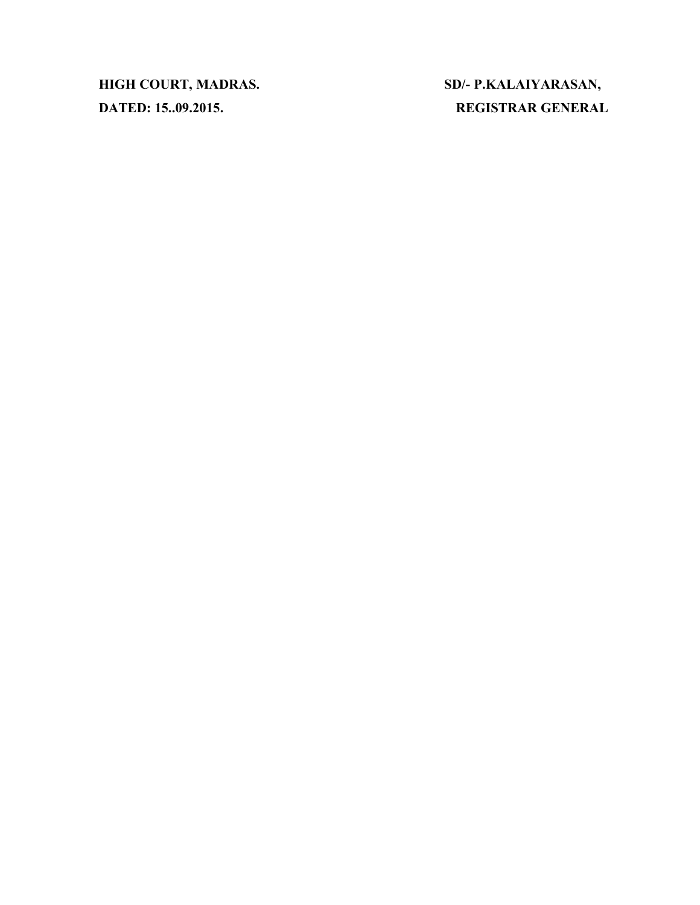**HIGH COURT, MADRAS. SD/- P.KALAIYARASAN,**

**DATED: 15..09.2015. REGISTRAR GENERAL**